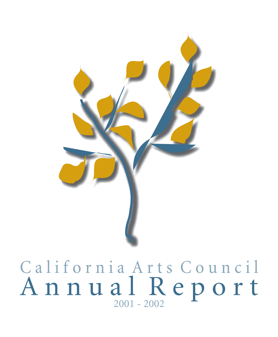

# California Arts Council Annual Report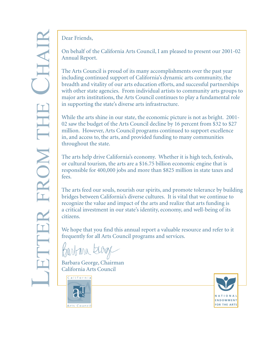Dear Friends,

On behalf of the California Arts Council, I am pleased to present our 2001-02 Annual Report.

The Arts Council is proud of its many accomplishments over the past year including continued support of California's dynamic arts community, the breadth and vitality of our arts education efforts, and successful partnerships with other state agencies. From individual artists to community arts groups to major arts institutions, the Arts Council continues to play a fundamental role in supporting the state's diverse arts infrastructure.

While the arts shine in our state, the economic picture is not as bright. 2001- 02 saw the budget of the Arts Council decline by 16 percent from \$32 to \$27 million. However, Arts Council programs continued to support excellence in, and access to, the arts, and provided funding to many communities throughout the state.

The arts help drive California's economy. Whether it is high tech, festivals, or cultural tourism, the arts are a \$16.75 billion economic engine that is responsible for 400,000 jobs and more than \$825 million in state taxes and fees.

The arts feed our souls, nourish our spirits, and promote tolerance by building bridges between California's diverse cultures. It is vital that we continue to recognize the value and impact of the arts and realize that arts funding is a critical investment in our state's identity, economy, and well-being of its citizens.

We hope that you find this annual report a valuable resource and refer to it frequently for all Arts Council programs and services.

Barbara to

Barbara George, Chairman California Arts Council





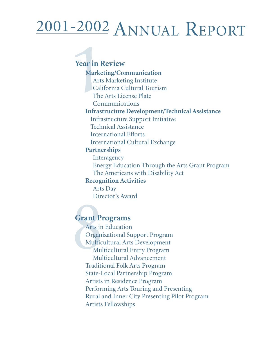## 2001-2002 ANNUAL REPORT

**Marketing/Communication** Arts Marketing Institute California Cultural Tourism The Arts License Plate Communications **Infrastructure Development/Technical Assistance** Infrastructure Support Initiative Technical Assistance International Efforts International Cultural Exchange **Partnerships Interagency** Energy Education Through the Arts Grant Program The Americans with Disability Act **Recognition Activities** Arts Day Director's Award **Year in Review**

#### **Grant Programs**

Arts in Education Organizational Support Program Multicultural Arts Development Multicultural Entry Program Multicultural Advancement Traditional Folk Arts Program State-Local Partnership Program Artists in Residence Program Performing Arts Touring and Presenting Rural and Inner City Presenting Pilot Program Artists Fellowships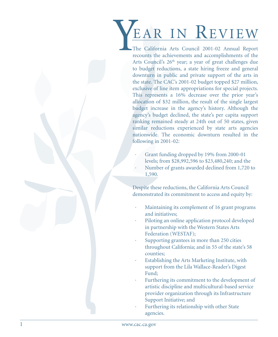**EARLY IN REVITE WE**<br>
The California Arts Council 2001-02 Annual lequent<br>
reconnect and accomplement is one considerably and accomplement is of<br>
Arts Council 2.0° years a year of green challenges due<br>
to be independent is The California Arts Council 2001-02 Annual Report recounts the achievements and accomplishments of the Arts Council's 26<sup>th</sup> year; a year of great challenges due to budget reductions, a state hiring freeze and general downturn in public and private support of the arts in the state. The CAC's 2001-02 budget topped \$27 million, exclusive of line item appropriations for special projects. This represents a 16% decrease over the prior year's allocation of \$32 million, the result of the single largest budget increase in the agency's history. Although the agency's budget declined, the state's per capita support ranking remained steady at 24th out of 50 states, given similar reductions experienced by state arts agencies nationwide. The economic downturn resulted in the following in 2001-02:

- Grant funding dropped by 19% from 2000-01
	- levels; from \$28,992,596 to \$23,480,240; and the
- Number of grants awarded declined from 1,720 to 1,590.

Despite these reductions, the California Arts Council demonstrated its commitment to access and equity by:

- Maintaining its complement of 16 grant programs and initiatives;
- Piloting an online application protocol developed in partnership with the Western States Arts Federation (WESTAF);
- · Supporting grantees in more than 250 cities throughout California; and in 55 of the state's 58 counties;
- Establishing the Arts Marketing Institute, with support from the Lila Wallace-Reader's Digest Fund;
- Furthering its commitment to the development of artistic discipline and multicultural-based service provider organization through its Infrastructure Support Initiative; and
- Furthering its relationship with other State agencies.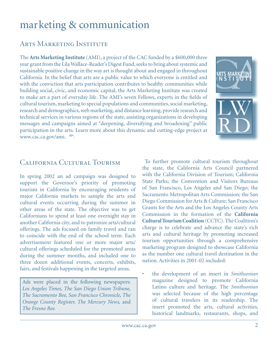## marketing & communication

#### ARTS MARKETING INSTITUTE

The **Arts Marketing Institute** (AMI), a project of the CAC funded by a \$600,000 three year grant from the Lila Wallace-Reader's Digest Fund, seeks to bring about systemic and sustainable positive change in the way art is thought about and engaged in throughout California. In the belief that arts are a public value to which everyone is entitled and with the conviction that arts participation contributes to healthy communities while building social, civic, and economic capital, the Arts Marketing Institute was created to make art a part of everyday life. The AMI's seven Fellows, experts in the fields of cultural tourism, marketing to special populations and communities, social marketing, research and demographics, web marketing, and distance learning, provide research and technical services in various regions of the state, assisting organizations in developing messages and campaigns aimed at "deepening, diversifying and broadening" public participation in the arts. Learn more about this dynamic and cutting-edge project at www.cac.ca.gov/ami.



#### California Cultural Tourism

In spring 2002 an ad campaign was designed to support the Governor's priority of promoting tourism in California by encouraging residents of major California markets to sample the arts and cultural events occurring during the summer in other areas of the state. The objective was to get Californians to spend at least one overnight stay in another California city, and to patronize arts/cultural offerings. The ads focused on family travel and ran to coincide with the end of the school term. Each advertisement featured one or more major arts/ cultural offerings scheduled for the promoted areas during the summer months, and included one to three dozen additional events, concerts, exhibits, fairs, and festivals happening in the targeted areas.

Ads were placed in the following newspapers: *Los Angeles Times, The San Diego Union Tribune, The Sacramento Bee, San Francisco Chronicle, The Orange County Register, The Mercury News,* and *The Fresno Bee.* 

 To further promote cultural tourism throughout the state, the California Arts Council partnered with the California Division of Tourism; California State Parks; the Convention and Visitors Bureaus of San Francisco, Los Angeles and San Diego; the Sacramento Metropolitan Arts Commission; the San Diego Commission for Arts & Culture; San Francisco Grants for the Arts and the Los Angeles County Arts Commission in the formation of the **California Cultural Tourism Coalition** (CCTC). The Coalition's charge is to celebrate and advance the state's rich arts and cultural heritage by promoting increased tourism opportunities through a comprehensive marketing program designed to showcase California as the number one cultural travel destination in the nation. Activities in 2001-02 included:

• the development of an insert in *Smithsonian* magazine designed to promote California Latino culture and heritage. The *Smithsonian*  was selected because of the high percentage of cultural travelers in its readership. The insert promoted the arts, cultural activities, historical landmarks, restaurants, shops, and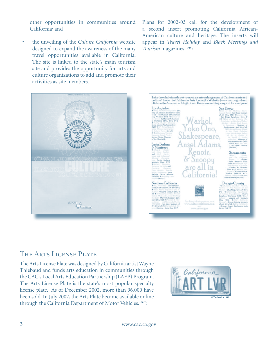other opportunities in communities around California; and

the unveiling of the *Culture California* website designed to expand the awareness of the many travel opportunities available in California. The site is linked to the state's main tourism site and provides the opportunity for arts and culture organizations to add and promote their activities as site members.

Plans for 2002-03 call for the development of a second insert promoting California African-American culture and heritage. The inserts will appear in *Travel Holiday* and *Black Meetings and Tourism* magazines.





#### The Arts License Plate

The Arts License Plate was designed by California artist Wayne Thiebaud and funds arts education in communities through the CAC's Local Arts Education Partnership (LAEP) Program. The Arts License Plate is the state's most popular specialty license plate. As of December 2002, more than 96,000 have been sold. In July 2002, the Arts Plate became available online through the California Department of Motor Vehicles.

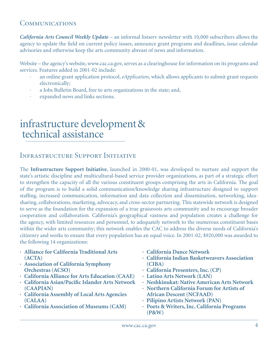#### **COMMUNICATIONS**

*California Arts Council Weekly Update* – an informal listserv newsletter with 10,000 subscribers allows the agency to update the field on current policy issues, announce grant programs and deadlines, issue calendar advisories and otherwise keep the arts community abreast of news and information.

Website – the agency's website, www.cac.ca.gov, serves as a clearinghouse for information on its programs and services. Features added in 2001-02 include:

- · an online grant application protocol, *eApplication*, which allows applicants to submit grant requests electronically;
- · a Jobs Bulletin Board, free to arts organizations in the state; and,
- expanded news and links sections.

## infrastructure development & technical assistance

#### Infrastructure Support Initiative

The **Infrastructure Support Initiative**, launched in 2000-01, was developed to nurture and support the state's artistic discipline and multicultural-based service provider organizations, as part of a strategic effort to strengthen the capacity of all the various constituent groups comprising the arts in California. The goal of the program is to build a solid communication/knowledge sharing infrastructure designed to support staffing, increased communication, information and data collection and dissemination, networking, ideasharing, collaborations, marketing, advocacy, and cross-sector partnering. This statewide network is designed to serve as the foundation for the expansion of a true grassroots arts community and to encourage broader cooperation and collaboration. California's geographical vastness and population creates a challenge for the agency, with limited resources and personnel, to adequately network to the numerous constituent bases within the wider arts community; this network enables the CAC to address the diverse needs of California's citizenry and works to ensure that every population has an equal voice. In 2001-02, \$920,000 was awarded to the following 14 organizations:

- **· Alliance for California Traditional Arts (ACTA)**
- **· Association of California Symphony Orchestras (ACSO)**
- **· California Alliance for Arts Education (CAAE)**
- **· California Asian/Pacific Islander Arts Network (CAAPIAN)**
- **· California Assembly of Local Arts Agencies (CALAA)**
- **· California Association of Museums (CAM)**
- **· California Dance Network**
- **· California Indian Basketweavers Association (CIBA)**
- **· California Presenters, Inc. (CP)**
- **· Latino Arts Network (LAN)**
- **· Neshkinukat: Native American Arts Network**
- **· Northern California Forum for Artists of African Descent (NCFAAD)**
- **· Pilipino Artists Network (PAN)**
- **· Poets & Writers, Inc. California Programs (P&W)**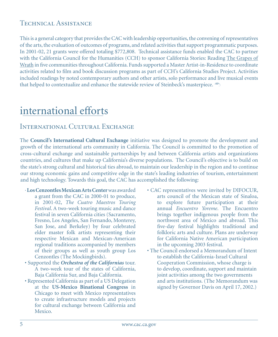#### TECHNICAL ASSISTANCE

This is a general category that provides the CAC with leadership opportunities, the convening of representatives of the arts, the evaluation of outcomes of programs, and related activities that support programmatic purposes. In 2001-02, 21 grants were offered totaling \$772,808. Technical assistance funds enabled the CAC to partner with the California Council for the Humanities (CCH) to sponsor California Stories: Reading The Grapes of Wrath in five communities throughout California. Funds supported a Master Artist-in-Residence to coordinate activities related to film and book discussion programs as part of CCH's California Studies Project. Activities included readings by noted contemporary authors and other artists, solo performance and live musical events that helped to contextualize and enhance the statewide review of Steinbeck's masterpiece.

## international efforts

#### International Cultural Exchange

The **Council's International Cultural Exchange** initiative was designed to promote the development and growth of the international arts community in California. The Council is committed to the promotion of cross-cultural exchange and sustainable partnerships by and between California artists and organizations countries, and cultures that make up California's diverse populations. The Council's objective is to build on the state's strong cultural and historical ties abroad, to maintain our leadership in the region and to continue our strong economic gains and competitive edge in the state's leading industries of tourism, entertainment and high technology. Towards this goal, the CAC has accomplished the following:

- · **Los Cenzontles Mexican Arts Center** was awarded a grant from the CAC in 2000-01 to produce, in 2001-02, *The Cuatro Maestros Touring Festival*. A two-week touring music and dance festival in seven California cities (Sacramento, Fresno, Los Angeles, San Fernando, Monterey, San Jose, and Berkeley) by four celebrated elder master folk artists representing their respective Mexican and Mexican-American regional traditions accompanied by members of their groups as well as youth group Los Cenzontles (The Mockingbirds).
- Supported the *Orchestra of the Californias* tour. A two-week tour of the states of California, Baja California Sur, and Baja California.
- Represented California as part of a US Delegation at the **US-Mexico Binational Congress** in Chicago to meet with Mexico representatives to create infrastructure models and projects for cultural exchange between California and Mexico.
- CAC representatives were invited by DIFOCUR, arts council of the Mexican state of Sinaloa, to explore future participation at their annual *Encuentro Yoreme*. The Encuentro brings together indigenous people from the northwest area of Mexico and abroad. This five-day festival highlights traditional and folkloric arts and culture. Plans are underway for California Native American participation in the upcoming 2003 festival.
- The Council endorsed a Memorandum of Intent to establish the California-Israel Cultural Cooperation Commission, whose charge is to develop, coordinate, support and maintain joint activities among the two governments and arts institutions. (The Memorandum was signed by Governor Davis on April 17, 2002.)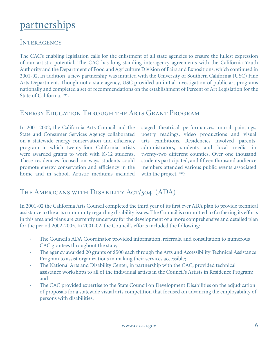## partnerships

#### **INTERAGENCY**

The CAC's enabling legislation calls for the enlistment of all state agencies to ensure the fullest expression of our artistic potential. The CAC has long-standing interagency agreements with the California Youth Authority and the Department of Food and Agriculture Division of Fairs and Expositions, which continued in 2001-02. In addition, a new partnership was initiated with the University of Southern California (USC) Fine Arts Department. Though not a state agency, USC provided an initial investigation of public art programs nationally and completed a set of recommendations on the establishment of Percent of Art Legislation for the State of California.

#### Energy Education Through the Arts Grant Program

In 2001-2002, the California Arts Council and the State and Consumer Services Agency collaborated on a statewide energy conservation and efficiency program in which twenty-four California artists were awarded grants to work with K-12 students. These residencies focused on ways students could promote energy conservation and efficiency in the home and in school. Artistic mediums included staged theatrical performances, mural paintings, poetry readings, video productions and visual arts exhibitions. Residencies involved parents, administrators, students and local media in twenty-two different counties. Over one thousand students participated, and fifteen thousand audience members attended various public events associated with the project.  $\widehat{\mathcal{D}}$ 

#### THE AMERICANS WITH DISABILITY ACT/504 (ADA)

In 2001-02 the California Arts Council completed the third year of its first ever ADA plan to provide technical assistance to the arts community regarding disability issues. The Council is committed to furthering its efforts in this area and plans are currently underway for the development of a more comprehensive and detailed plan for the period 2002-2005. In 2001-02, the Council's efforts included the following:

- The Council's ADA Coordinator provided information, referrals, and consultation to numerous CAC grantees throughout the state;
- The agency awarded 20 grants of \$500 each through the Arts and Accessibility Technical Assistance Program to assist organizations in making their services accessible;
- · The National Arts and Disability Center, in partnership with the CAC, provided technical assistance workshops to all of the individual artists in the Council's Artists in Residence Program; and
- · The CAC provided expertise to the State Council on Development Disabilities on the adjudication of proposals for a statewide visual arts competition that focused on advancing the employability of persons with disabilities.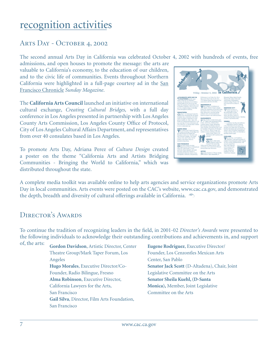### recognition activities

#### Arts Day - October 4, 2002

The second annual Arts Day in California was celebrated October 4, 2002 with hundreds of events, free

admissions, and open houses to promote the message: the arts are valuable to California's economy, to the education of our children, and to the civic life of communities. Events throughout Northern California were highlighted in a full-page courtesy ad in the San Francisco Chronicle *Sunday Magazine*.

The **California Arts Council** launched an initiative on international cultural exchange, *Creating Cultural Bridges,* with a full day conference in Los Angeles presented in partnership with Los Angeles County Arts Commission, Los Angeles County Office of Protocol, City of Los Angeles Cultural Affairs Department, and representatives from over 40 consulates based in Los Angeles.

To promote Arts Day, Adriana Perez of *Cultura Design* created a poster on the theme "California Arts and Artists Bridging Communities - Bringing the World to California," which was distributed throughout the state.



A complete media toolkit was available online to help arts agencies and service organizations promote Arts Day in local communities. Arts events were posted on the CAC's website, www.cac.ca.gov, and demonstrated the depth, breadth and diversity of cultural offerings available in California.

#### DIRECTOR'S AWARDS

To continue the tradition of recognizing leaders in the field, in 2001-02 *Director's Awards* were presented to the following individuals to acknowledge their outstanding contributions and achievements in, and support

of, the arts: **Gordon Davidson**, Artistic Director, Center Theatre Group/Mark Taper Forum, Los Angeles **Hugo Morales**, Executive Director/Co-Founder, Radio Bilingue, Fresno **Alma Robinson**, Executive Director, California Lawyers for the Arts, San Francisco **Gail Silva**, Director, Film Arts Foundation, San Francisco

**Eugene Rodriguez**, Executive Director/ Founder, Los Cenzontles Mexican Arts Center, San Pablo **Senator Jack Scott** (D-Altadena), Chair, Joint Legislative Committee on the Arts **Senator Sheila Kuehl, (D-Santa Monica),** Member, Joint Legislative Committee on the Arts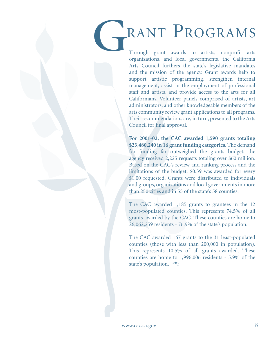## RANT PROGRAMS

Through grant awards to artists, nonprofit arts organizations, and local governments, the California Arts Council furthers the state's legislative mandates and the mission of the agency. Grant awards help to support artistic programming, strengthen internal management, assist in the employment of professional staff and artists, and provide access to the arts for all Californians. Volunteer panels comprised of artists, art administrators, and other knowledgeable members of the arts community review grant applications to all programs. Their recommendations are, in turn, presented to the Arts Council for final approval.

**For 2001-02, the CAC awarded 1,590 grants totaling \$23,480,240 in 16 grant funding categories**. The demand for funding far outweighed the grants budget; the agency received 2,225 requests totaling over \$60 million. Based on the CAC's review and ranking process and the limitations of the budget, \$0.39 was awarded for every \$1.00 requested. Grants were distributed to individuals and groups, organizations and local governments in more than 250 cities and in 55 of the state's 58 counties.

The CAC awarded 1,185 grants to grantees in the 12 most-populated counties. This represents 74.5% of all grants awarded by the CAC. These counties are home to 26,062,259 residents - 76.9% of the state's population.

The CAC awarded 167 grants to the 31 least-populated counties (those with less than 200,000 in population). This represents 10.5% of all grants awarded. These counties are home to 1,996,006 residents - 5.9% of the state's population.  $\widehat{\mathcal{D}}$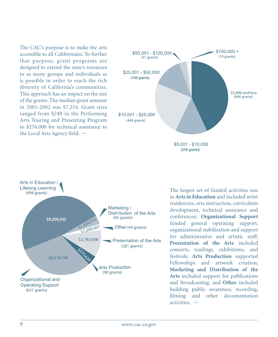The CAC's purpose is to make the arts accessible to all Californians. To further that purpose, grant programs are designed to extend the state's resources to as many groups and individuals as is possible in order to reach the rich diversity of California's communities. This approach has an impact on the size of the grants. The median grant amount in 2001-2002 was \$7,254. Grant sizes ranged from \$240 in the Performing Arts Touring and Presenting Program to \$276,000 for technical assistance to the Local Arts Agency field.





The largest set of funded activities was in **Arts in Education** and included artist residencies, arts instruction, curriculum development, technical assistance and conferences; **Organizational Support**  funded general operating support, organizational stabilization and support for administrative and artistic staff; **Presentation of the Arts** included concerts, readings, exhibitions, and festivals; **Arts Production** supported Fellowships and artwork creation; **Marketing and Distribution of the Arts** included support for publications and broadcasting; and **Other** included building public awareness, recording, filming and other documentation activities.  $\approx$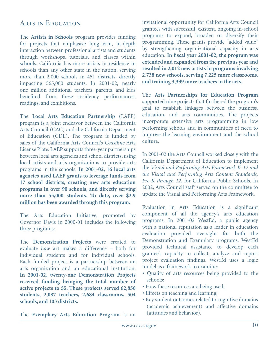#### ARTS IN EDUCATION

The **Artists in Schools** program provides funding for projects that emphasize long-term, in-depth interaction between professional artists and students through workshops, tutorials, and classes within schools. California has more artists in residence in schools than any other state in the nation, serving more than 2,000 schools in 451 districts, directly impacting 565,000 students. In 2001-02, nearly one million additional teachers, parents, and kids benefited from these residency performances, readings, and exhibitions.

The **Local Arts Education Partnership** (LAEP) program is a joint endeavor between the California Arts Council (CAC) and the California Department of Education (CDE). The program is funded by sales of the California Arts Council's *Coastline* Arts License Plate. LAEP supports three-year partnerships between local arts agencies and school districts, using local artists and arts organizations to provide arts programs in the schools. **In 2001-02, 16 local arts agencies used LAEP grants to leverage funds from 17 school districts, creating new arts education programs in over 90 schools, and directly serving more than 55,000 students. To date, over \$2.9 million has been awarded through this program.** 

The Arts Education Initiative, promoted by Governor Davis in 2000-01 includes the following three programs:

The **Demonstration Projects** were created to evaluate *how* art makes a difference – both for individual students and for individual schools. Each funded project is a partnership between an arts organization and an educational institution. **In 2001-02, twenty-one Demonstration Projects received funding bringing the total number of active projects to 55. These projects served 62,850 students, 2,087 teachers, 2,684 classrooms, 504 schools, and 103 districts.** 

invitational opportunity for California Arts Council grantees with successful, existent, ongoing in-school programs to expand, broaden or diversify their programming. These grants provide "added value" by strengthening organizational capacity in arts education. **In fiscal year 2001-02, the program was extended and expanded from the previous year and resulted in 2,012 new artists in programs involving 2,738 new schools, serving 7,225 more classrooms, and training 3,339 more teachers in the arts.**

The **Arts Partnerships for Education Program** supported nine projects that furthered the program's goal to establish linkages between the business, education, and arts communities. The projects incorporate extensive arts programming in low performing schools and in communities of need to improve the learning environment and the school culture.

In 2001-02 the Arts Council worked closely with the California Department of Education to implement the *Visual and Performing Arts Framework K-12 and the Visual and Performing Arts Content Standards, Pre-K through 12*, for California Public Schools. In 2002, Arts Council staff served on the committee to update the Visual and Performing Arts Framework.

Evaluation in Arts Education is a significant component of all the agency's arts education programs. In 2001-02 WestEd, a public agency with a national reputation as a leader in education evaluation provided oversight for both the Demonstration and Exemplary programs. WestEd provided technical assistance to develop each grantee's capacity to collect, analyze and report project evaluation findings. WestEd uses a logic model as a framework to examine:

- Quality of arts resources being provided to the schools;
- How these resources are being used;
- Effects on teaching and learning;
- Key student outcomes related to cognitive domains (academic achievement) and affective domains (attitudes and behavior).

The **Exemplary Arts Education Program** is an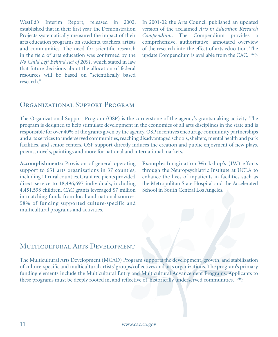WestEd's Interim Report, released in 2002, established that in their first year, the Demonstration Projects systematically measured the impact of their arts education programs on students, teachers, artists and communities. The need for scientific research in the field of arts education was confirmed by the *No Child Left Behind Act of 2001*, which stated in law that future decisions about the allocation of federal resources will be based on "scientifically based research."

In 2001-02 the Arts Council published an updated version of the acclaimed *Arts in Education Research Compendium*. The Compendium provides a comprehensive, authoritative, annotated overview of the research into the effect of arts education. The update Compendium is available from the CAC.

#### ORGANIZATIONAL SUPPORT PROGRAM

The Organizational Support Program (OSP) is the cornerstone of the agency's grantsmaking activity. The program is designed to help stimulate development in the economies of all arts disciplines in the state and is responsible for over 40% of the grants given by the agency. OSP incentives encourage community partnerships and arts services to underserved communities, reaching disadvantaged schools, shelters, mental health and park facilities, and senior centers. OSP support directly induces the creation and public enjoyment of new plays, poems, novels, paintings and more for national and international markets.

**Accomplishments:** Provision of general operating support to 651 arts organizations in 37 counties, including 11 rural counties. Grant recipients provided direct service to 18,496,697 individuals, including 4,451,598 children. CAC grants leveraged \$7 million in matching funds from local and national sources. 58% of funding supported culture-specific and multicultural programs and activities.

**Example:** Imagination Workshop's (IW) efforts through the Neuropsychiatric Institute at UCLA to enhance the lives of inpatients in facilities such as the Metropolitan State Hospital and the Accelerated School in South Central Los Angeles.

#### Multicultural Arts Development

The Multicultural Arts Development (MCAD) Program supports the development, growth, and stabilization of culture-specific and multicultural artists' groups/collectives and arts organizations. The program's primary funding elements include the Multicultural Entry and Multicultural Advancement Programs. Applicants to these programs must be deeply rooted in, and reflective of, historically underserved communities.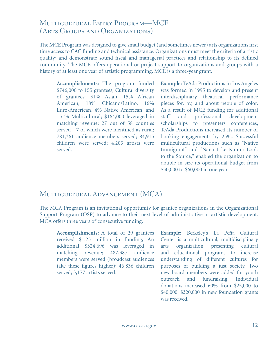#### Multicultural Entry Program—MCE (Arts Groups and Organizations)

The MCE Program was designed to give small budget (and sometimes newer) arts organizations first time access to CAC funding and technical assistance. Organizations must meet the criteria of artistic quality; and demonstrate sound fiscal and managerial practices and relationship to its defined community. The MCE offers operational or project support to organizations and groups with a history of at least one year of artistic programming. MCE is a three-year grant.

**Accomplishments:** The program funded \$746,000 to 155 grantees; Cultural diversity of grantees: 31% Asian, 15% African American, 18% Chicano/Latino, 16% Euro-American, 4% Native American, and 15 % Multicultural; \$164,000 leveraged in matching revenue; 27 out of 58 counties served—7 of which were identified as rural; 781,361 audience members served; 84,915 children were served; 4,203 artists were served.

**Example:** TeAda Productions in Los Angeles was formed in 1995 to develop and present interdisciplinary theatrical performance pieces for, by, and about people of color. As a result of MCE funding for additional staff and professional development scholarships to presenters conferences, TeAda Productions increased its number of booking engagements by 25%. Successful multicultural productions such as "Native Immigrant" and "Nana I ke Kumu: Look to the Source," enabled the organization to double in size its operational budget from \$30,000 to \$60,000 in one year.

#### Multicultural Advancement (MCA)

The MCA Program is an invitational opportunity for grantee organizations in the Organizational Support Program (OSP) to advance to their next level of administrative or artistic development. MCA offers three years of consecutive funding.

**Accomplishments:** A total of 29 grantees received \$1.25 million in funding; An additional \$324,696 was leveraged in matching revenue; 487,387 audience members were served (broadcast audiences take these figures higher); 46,836 children served; 3,177 artists served.

**Example:** Berkeley's La Peña Cultural Center is a multicultural, multidisciplinary arts organization presenting cultural and educational programs to increase understanding of different cultures for purposes of building a just society. Two new board members were added for youth outreach and fundraising. Individual donations increased 60% from \$25,000 to \$40,000. \$320,000 in new foundation grants was received.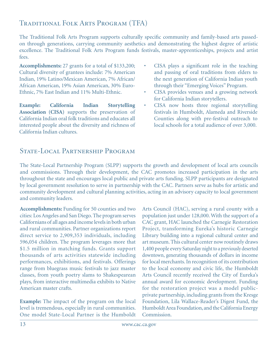#### Traditional Folk Arts Program (TFA)

The Traditional Folk Arts Program supports culturally specific community and family-based arts passedon through generations, carrying community aesthetics and demonstrating the highest degree of artistic excellence. The Traditional Folk Arts Program funds festivals, master-apprenticeships, projects and artist fees.

**Accomplishments:** 27 grants for a total of \$133,200; Cultural diversity of grantees include: 7% American Indian, 19% Latino/Mexican American, 7% African/ African American, 19% Asian American, 30% Euro-Ethnic, 7% East Indian and 11% Multi-Ethnic.

**Example: California Indian Storytelling Association (CISA)** supports the preservation of California Indian oral folk traditions and educates all interested people about the diversity and richness of California Indian cultures.

- • CISA plays a significant role in the teaching and passing of oral traditions from elders to the next generation of California Indian youth through their "Emerging Voices" Program.
- CISA provides venues and a growing network for California Indian storytellers.
- CISA now hosts three regional storytelling festivals in Humboldt, Alameda and Riverside Counties along with pre-festival outreach to local schools for a total audience of over 3,000.

#### STATE-LOCAL PARTNERSHIP PROGRAM

The State-Local Partnership Program (SLPP) supports the growth and development of local arts councils and commissions. Through their development, the CAC promotes increased participation in the arts throughout the state and encourages local public and private arts funding. SLPP participants are designated by local government resolution to serve in partnership with the CAC. Partners serve as hubs for artistic and community development and cultural planning activities, acting in an advisory capacity to local government and community leaders.

**Accomplishments:** Funding for 50 counties and two cities: Los Angeles and San Diego. The program serves Californians of all ages and income levels in both urban and rural communities. Partner organizations report direct service to 2,909,353 individuals, including 596,054 children. The program leverages more that \$1.5 million in matching funds. Grants support thousands of arts activities statewide including performances, exhibitions, and festivals. Offerings range from bluegrass music festivals to jazz master classes, from youth poetry slams to Shakespearean plays, from interactive multimedia exhibits to Native American master crafts.

**Example:** The impact of the program on the local level is tremendous, especially in rural communities. One model State-Local Partner is the Humboldt

Arts Council (HAC), serving a rural county with a population just under 128,000. With the support of a CAC grant, HAC launched the Carnegie Restoration Project, transforming Eureka's historic Carnegie Library building into a regional cultural center and art museum. This cultural center now routinely draws 1,400 people every Saturday night to a previously deserted downtown, generating thousands of dollars in income for local merchants. In recognition of its contribution to the local economy and civic life, the Humboldt Arts Council recently received the City of Eureka's annual award for economic development. Funding for the restoration project was a model publicprivate partnership, including grants from the Kresge Foundation, Lila Wallace-Reader's Digest Fund, the Humboldt Area Foundation, and the California Energy Commission.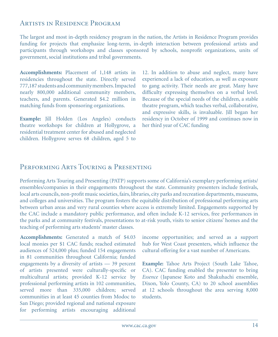#### Artists in Residence Program

The largest and most in-depth residency program in the nation, the Artists in Residence Program provides funding for projects that emphasize long-term, in-depth interaction between professional artists and participants through workshops and classes sponsored by schools, nonprofit organizations, units of government, social institutions and tribal governments.

**Accomplishments:** Placement of 1,148 artists in residencies throughout the state. Directly served 777,187 students and community members. Impacted nearly 800,000 additional community members, teachers, and parents. Generated \$4.2 million in matching funds from sponsoring organizations.

**Example:** Jill Holden (Los Angeles) conducts theatre workshops for children at Hollygrove, a residential treatment center for abused and neglected children. Hollygrove serves 68 children, aged 5 to

12. In addition to abuse and neglect, many have experienced a lack of education, as well as exposure to gang activity. Their needs are great. Many have difficulty expressing themselves on a verbal level. Because of the special needs of the children, a stable theatre program, which teaches verbal, collaborative, and expressive skills, is invaluable. Jill began her residency in October of 1999 and continues now in her third year of CAC funding

#### PERFORMING ARTS TOURING & PRESENTING

Performing Arts Touring and Presenting (PATP) supports some of California's exemplary performing artists/ ensembles/companies in their engagements throughout the state. Community presenters include festivals, local arts councils, non-profit music societies, fairs, libraries, city parks and recreation departments, museums, and colleges and universities. The program fosters the equitable distribution of professional performing arts between urban areas and very rural counties where access is extremely limited. Engagements supported by the CAC include a mandatory public performance, and often include K-12 services, free performances in the parks and at community festivals, presentations to at-risk youth, visits to senior citizens' homes and the teaching of performing arts students' master classes.

**Accomplishments:** Generated a match of \$4.03 local monies per \$1 CAC funds; reached estimated audiences of 524,000 plus; funded 154 engagements in 81 communities throughout California; funded engagements by a diversity of artists — 39 percent of artists presented were culturally-specific or multicultural artists; provided K-12 service by professional performing artists in 102 communities, served more than 335,000 children; served communities in at least 45 counties from Modoc to San Diego; provided regional and national exposure for performing artists encouraging additional

income opportunities; and served as a support hub for West Coast presenters, which influence the cultural offering for a vast number of Americans.

**Example:** Tahoe Arts Project (South Lake Tahoe, CA). CAC funding enabled the presenter to bring *Essence* (Japanese Koto and Shakuhachi ensemble, Dixon, Yolo County, CA) to 20 school assemblies at 12 schools throughout the area serving 8,000 students.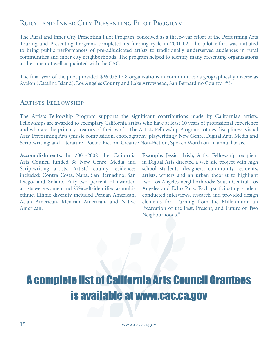#### Rural and Inner City Presenting Pilot Program

The Rural and Inner City Presenting Pilot Program, conceived as a three-year effort of the Performing Arts Touring and Presenting Program, completed its funding cycle in 2001-02. The pilot effort was initiated to bring public performances of pre-adjudicated artists to traditionally underserved audiences in rural communities and inner city neighborhoods. The program helped to identify many presenting organizations at the time not well acquainted with the CAC.

The final year of the pilot provided \$26,075 to 8 organizations in communities as geographically diverse as Avalon (Catalina Island), Los Angeles County and Lake Arrowhead, San Bernardino County.

#### Artists Fellowship

The Artists Fellowship Program supports the significant contributions made by California's artists. Fellowships are awarded to exemplary California artists who have at least 10 years of professional experience and who are the primary creators of their work. The Artists Fellowship Program rotates disciplines: Visual Arts; Performing Arts (music composition, choreography, playwriting); New Genre, Digital Arts, Media and Scriptwriting; and Literature (Poetry, Fiction, Creative Non-Fiction, Spoken Word) on an annual basis.

**Accomplishments:** In 2001-2002 the California Arts Council funded 38 New Genre, Media and Scriptwriting artists. Artists' county residences included: Contra Costa, Napa, San Bernadino, San Diego, and Solano. Fifty-two percent of awarded artists were women and 25% self-identified as multiethnic. Ethnic diversity included Persian American, Asian American, Mexican American, and Native American.

**Example:** Jessica Irish, Artist Fellowship recipient in Digital Arts directed a web site project with high school students, designers, community residents, artists, writers and an urban theorist to highlight two Los Angeles neighborhoods: South Central Los Angeles and Echo Park. Each participating student conducted interviews, research and provided design elements for "Turning from the Millennium: an Excavation of the Past, Present, and Future of Two Neighborhoods."

## A complete list of California Arts Council Grantees is available at www.cac.ca.gov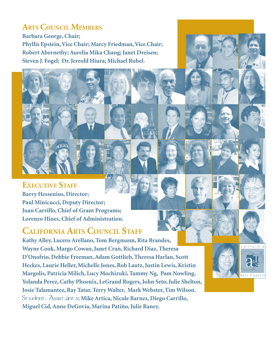#### **Arts Council Members**

**Barbara George, Chair; Phyllis Epstein, Vice Chair; Marcy Friedman, Vice Chair; Robert Abernethy; Aurelia Mika Chang; Janet Dreisen; Steven J. Fogel; Dr. Jerrold Hiura; Michael Rubel.**

#### **EXECUTIVE STAFF**

**Barry Hessenius, Director; Paul Minicucci, Deputy Director; Juan Carrillo, Chief of Grant Programs; Lorenzo Hines, Chief of Administration.**

### **California Arts Council Staff**

**Kathy Alley, Lucero Arellano, Tom Bergmann, Rita Brandes, Wayne Cook, Margo Cowan, Janet Cran, Richard Diaz, Theresa D'Onofrio, Debbie Freeman, Adam Gottlieb, Theresa Harlan, Scott Heckes, Laurie Heller, Michelle Jones, Rob Lautz, Justin Lewis, Kristin Margolis, Patricia Milich, Lucy Mochizuki, Tammy Ng, Pam Nowling, Yolanda Perez, Cathy Phoenix, LeGrand Rogers, John Seto, Julie Shelton, Josie Talamantez, Ray Tatar, Terry Walter, Mark Webster, Tim Wilson.**  Student Assistants**: Mike Artica, Nicole Barnes, Diego Carrillo, Miguel Cid, Anne DeGovia, Marina Patiño, Julie Raney.**